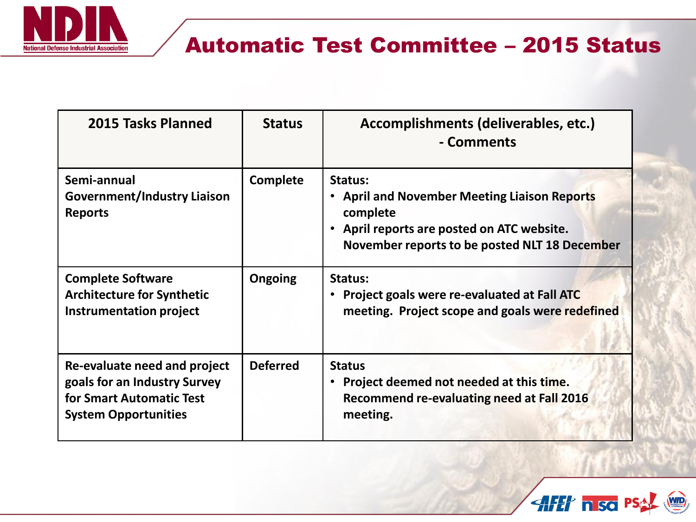

## Automatic Test Committee – 2015 Status

| 2015 Tasks Planned                                                                                                      | <b>Status</b>   | Accomplishments (deliverables, etc.)<br>- Comments                                                                                                                 |
|-------------------------------------------------------------------------------------------------------------------------|-----------------|--------------------------------------------------------------------------------------------------------------------------------------------------------------------|
| Semi-annual<br><b>Government/Industry Liaison</b><br><b>Reports</b>                                                     | Complete        | Status:<br>• April and November Meeting Liaison Reports<br>complete<br>• April reports are posted on ATC website.<br>November reports to be posted NLT 18 December |
| <b>Complete Software</b><br><b>Architecture for Synthetic</b><br><b>Instrumentation project</b>                         | <b>Ongoing</b>  | Status:<br>Project goals were re-evaluated at Fall ATC<br>meeting. Project scope and goals were redefined                                                          |
| Re-evaluate need and project<br>goals for an Industry Survey<br>for Smart Automatic Test<br><b>System Opportunities</b> | <b>Deferred</b> | <b>Status</b><br>Project deemed not needed at this time.<br><b>Recommend re-evaluating need at Fall 2016</b><br>meeting.                                           |